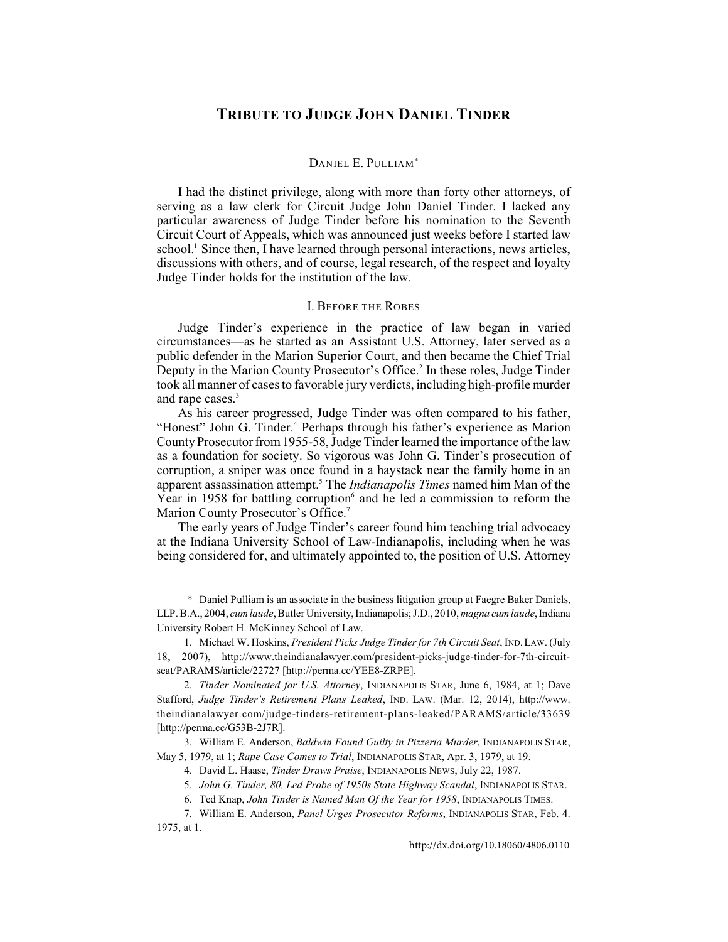# **TRIBUTE TO JUDGE JOHN DANIEL TINDER**

## DANIEL E. PULLIAM\*

I had the distinct privilege, along with more than forty other attorneys, of serving as a law clerk for Circuit Judge John Daniel Tinder. I lacked any particular awareness of Judge Tinder before his nomination to the Seventh Circuit Court of Appeals, which was announced just weeks before I started law school. $<sup>1</sup>$  Since then, I have learned through personal interactions, news articles,</sup> discussions with others, and of course, legal research, of the respect and loyalty Judge Tinder holds for the institution of the law.

## I. BEFORE THE ROBES

Judge Tinder's experience in the practice of law began in varied circumstances—as he started as an Assistant U.S. Attorney, later served as a public defender in the Marion Superior Court, and then became the Chief Trial Deputy in the Marion County Prosecutor's Office.<sup>2</sup> In these roles, Judge Tinder took all manner of cases to favorable jury verdicts, including high-profile murder and rape cases.<sup>3</sup>

As his career progressed, Judge Tinder was often compared to his father, "Honest" John G. Tinder.<sup>4</sup> Perhaps through his father's experience as Marion County Prosecutor from 1955-58, Judge Tinder learned the importance of the law as a foundation for society. So vigorous was John G. Tinder's prosecution of corruption, a sniper was once found in a haystack near the family home in an apparent assassination attempt.<sup>5</sup> The *Indianapolis Times* named him Man of the Year in 1958 for battling corruption $6$  and he led a commission to reform the Marion County Prosecutor's Office.<sup>7</sup>

The early years of Judge Tinder's career found him teaching trial advocacy at the Indiana University School of Law-Indianapolis, including when he was being considered for, and ultimately appointed to, the position of U.S. Attorney

3. William E. Anderson, *Baldwin Found Guilty in Pizzeria Murder*, INDIANAPOLIS STAR, May 5, 1979, at 1; *Rape Case Comes to Trial*, INDIANAPOLIS STAR, Apr. 3, 1979, at 19.

4. David L. Haase, *Tinder Draws Praise*, INDIANAPOLIS NEWS, July 22, 1987.

<sup>\*</sup> Daniel Pulliam is an associate in the business litigation group at Faegre Baker Daniels, LLP. B.A., 2004, *cum laude*, Butler University, Indianapolis; J.D., 2010, *magna cum laude*, Indiana University Robert H. McKinney School of Law.

<sup>1.</sup> Michael W. Hoskins, *President Picks Judge Tinder for 7th Circuit Seat*, IND.LAW. (July 18, 2007), http://www.theindianalawyer.com/president-picks-judge-tinder-for-7th-circuitseat/PARAMS/article/22727 [http://perma.cc/YEE8-ZRPE].

<sup>2.</sup> *Tinder Nominated for U.S. Attorney*, INDIANAPOLIS STAR, June 6, 1984, at 1; Dave Stafford, *Judge Tinder's Retirement Plans Leaked*, IND. LAW. (Mar. 12, 2014), http://www. theindianalawyer.com/judge-tinders-retirement-plans-leaked/PARAMS/article/33639 [http://perma.cc/G53B-2J7R].

<sup>5.</sup> *John G. Tinder, 80, Led Probe of 1950s State Highway Scandal*, INDIANAPOLIS STAR.

<sup>6.</sup> Ted Knap, *John Tinder is Named Man Of the Year for 1958*, INDIANAPOLIS TIMES.

<sup>7.</sup> William E. Anderson, *Panel Urges Prosecutor Reforms*, INDIANAPOLIS STAR, Feb. 4. 1975, at 1.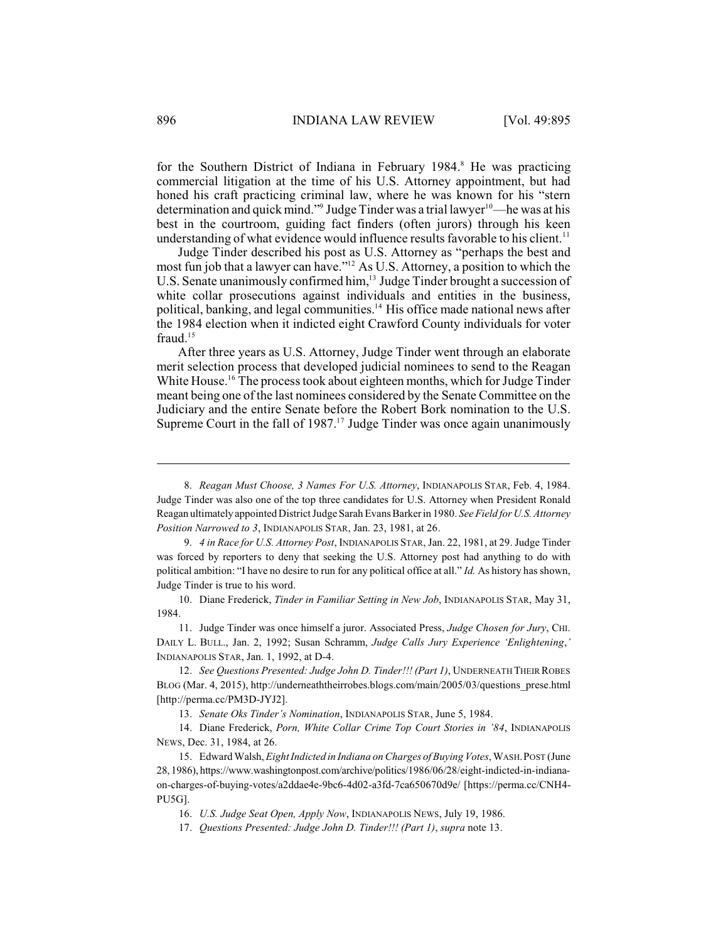for the Southern District of Indiana in February 1984.<sup>8</sup> He was practicing commercial litigation at the time of his U.S. Attorney appointment, but had honed his craft practicing criminal law, where he was known for his "stern determination and quick mind."<sup>9</sup> Judge Tinder was a trial lawyer<sup>10</sup>—he was at his best in the courtroom, guiding fact finders (often jurors) through his keen understanding of what evidence would influence results favorable to his client.<sup>11</sup>

Judge Tinder described his post as U.S. Attorney as "perhaps the best and most fun job that a lawyer can have." $12$  As U.S. Attorney, a position to which the U.S. Senate unanimously confirmed him,<sup>13</sup> Judge Tinder brought a succession of white collar prosecutions against individuals and entities in the business, political, banking, and legal communities.<sup>14</sup> His office made national news after the 1984 election when it indicted eight Crawford County individuals for voter fraud.<sup>15</sup>

After three years as U.S. Attorney, Judge Tinder went through an elaborate merit selection process that developed judicial nominees to send to the Reagan White House.<sup>16</sup> The process took about eighteen months, which for Judge Tinder meant being one of the last nominees considered by the Senate Committee on the Judiciary and the entire Senate before the Robert Bork nomination to the U.S. Supreme Court in the fall of  $1987<sup>17</sup>$  Judge Tinder was once again unanimously

<sup>8.</sup> *Reagan Must Choose, 3 Names For U.S. Attorney*, INDIANAPOLIS STAR, Feb. 4, 1984. Judge Tinder was also one of the top three candidates for U.S. Attorney when President Ronald Reagan ultimatelyappointed District Judge Sarah Evans Barker in 1980. *See Field for U.S.Attorney Position Narrowed to 3*, INDIANAPOLIS STAR, Jan. 23, 1981, at 26.

<sup>9.</sup> *4 in Race for U.S. Attorney Post*, INDIANAPOLIS STAR, Jan. 22, 1981, at 29. Judge Tinder was forced by reporters to deny that seeking the U.S. Attorney post had anything to do with political ambition: "I have no desire to run for any political office at all." *Id.* As history has shown, Judge Tinder is true to his word.

<sup>10.</sup> Diane Frederick, *Tinder in Familiar Setting in New Job*, INDIANAPOLIS STAR, May 31, 1984.

<sup>11.</sup> Judge Tinder was once himself a juror. Associated Press, *Judge Chosen for Jury*, CHI. DAILY L. BULL., Jan. 2, 1992; Susan Schramm, *Judge Calls Jury Experience 'Enlightening*,*'* INDIANAPOLIS STAR, Jan. 1, 1992, at D-4.

<sup>12.</sup> *See Questions Presented: Judge John D. Tinder!!! (Part 1)*, UNDERNEATH THEIR ROBES BLOG (Mar. 4, 2015), http://underneaththeirrobes.blogs.com/main/2005/03/questions\_prese.html [http://perma.cc/PM3D-JYJ2].

<sup>13.</sup> *Senate Oks Tinder's Nomination*, INDIANAPOLIS STAR, June 5, 1984.

<sup>14.</sup> Diane Frederick, *Porn, White Collar Crime Top Court Stories in '84*, INDIANAPOLIS NEWS, Dec. 31, 1984, at 26.

<sup>15.</sup> Edward Walsh, *Eight Indicted in Indiana onCharges of Buying Votes*, WASH.POST (June 28, 1986), https://www.washingtonpost.com/archive/politics/1986/06/28/eight-indicted-in-indianaon-charges-of-buying-votes/a2ddae4e-9bc6-4d02-a3fd-7ca650670d9e/ [https://perma.cc/CNH4- PU5G].

<sup>16.</sup> *U.S. Judge Seat Open, Apply Now*, INDIANAPOLIS NEWS, July 19, 1986.

<sup>17.</sup> *Questions Presented: Judge John D. Tinder!!! (Part 1)*, *supra* note 13.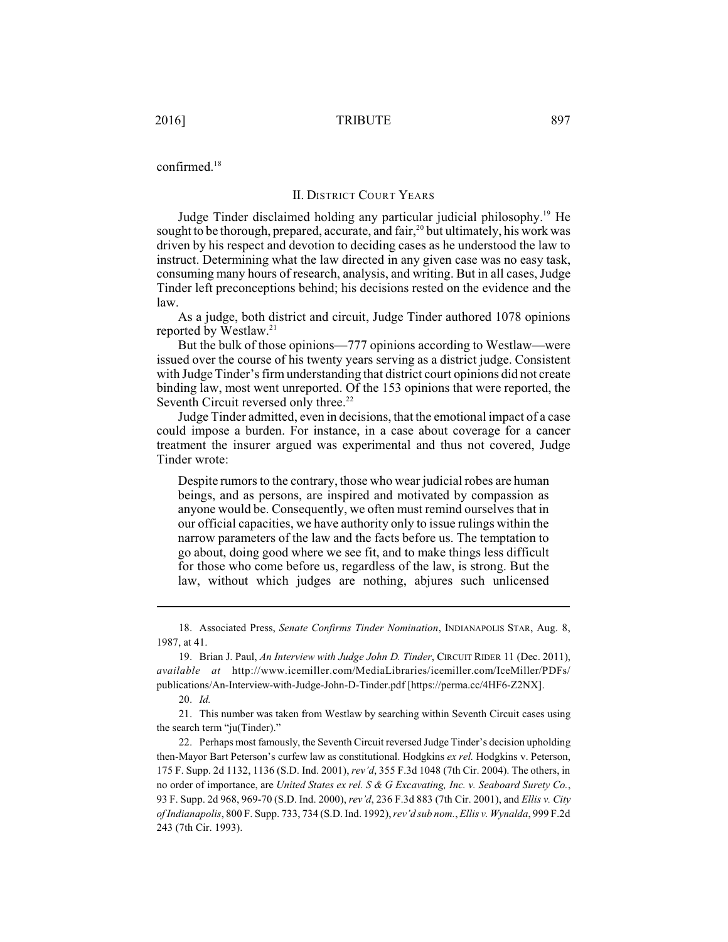confirmed.<sup>18</sup>

## II. DISTRICT COURT YEARS

Judge Tinder disclaimed holding any particular judicial philosophy.<sup>19</sup> He sought to be thorough, prepared, accurate, and fair,  $20$  but ultimately, his work was driven by his respect and devotion to deciding cases as he understood the law to instruct. Determining what the law directed in any given case was no easy task, consuming many hours of research, analysis, and writing. But in all cases, Judge Tinder left preconceptions behind; his decisions rested on the evidence and the law.

As a judge, both district and circuit, Judge Tinder authored 1078 opinions reported by Westlaw.<sup>21</sup>

But the bulk of those opinions—777 opinions according to Westlaw—were issued over the course of his twenty years serving as a district judge. Consistent with Judge Tinder's firm understanding that district court opinions did not create binding law, most went unreported. Of the 153 opinions that were reported, the Seventh Circuit reversed only three.<sup>22</sup>

Judge Tinder admitted, even in decisions, that the emotional impact of a case could impose a burden. For instance, in a case about coverage for a cancer treatment the insurer argued was experimental and thus not covered, Judge Tinder wrote:

Despite rumors to the contrary, those who wear judicial robes are human beings, and as persons, are inspired and motivated by compassion as anyone would be. Consequently, we often must remind ourselves that in our official capacities, we have authority only to issue rulings within the narrow parameters of the law and the facts before us. The temptation to go about, doing good where we see fit, and to make things less difficult for those who come before us, regardless of the law, is strong. But the law, without which judges are nothing, abjures such unlicensed

<sup>18.</sup> Associated Press, *Senate Confirms Tinder Nomination*, INDIANAPOLIS STAR, Aug. 8, 1987, at 41.

<sup>19.</sup> Brian J. Paul, *An Interview with Judge John D. Tinder*, CIRCUIT RIDER 11 (Dec. 2011), *available at* http://www.icemiller.com/MediaLibraries/icemiller.com/IceMiller/PDFs/ publications/An-Interview-with-Judge-John-D-Tinder.pdf [https://perma.cc/4HF6-Z2NX].

<sup>20.</sup> *Id.*

<sup>21.</sup> This number was taken from Westlaw by searching within Seventh Circuit cases using the search term "ju(Tinder)."

<sup>22.</sup> Perhaps most famously, the Seventh Circuit reversed Judge Tinder's decision upholding then-Mayor Bart Peterson's curfew law as constitutional. Hodgkins *ex rel.* Hodgkins v. Peterson, 175 F. Supp. 2d 1132, 1136 (S.D. Ind. 2001), *rev'd*, 355 F.3d 1048 (7th Cir. 2004). The others, in no order of importance, are *United States ex rel. S & G Excavating, Inc. v. Seaboard Surety Co.*, 93 F. Supp. 2d 968, 969-70 (S.D. Ind. 2000), *rev'd*, 236 F.3d 883 (7th Cir. 2001), and *Ellis v. City of Indianapolis*, 800 F. Supp. 733, 734 (S.D. Ind. 1992), *rev'd sub nom.*, *Ellis v. Wynalda*, 999 F.2d 243 (7th Cir. 1993).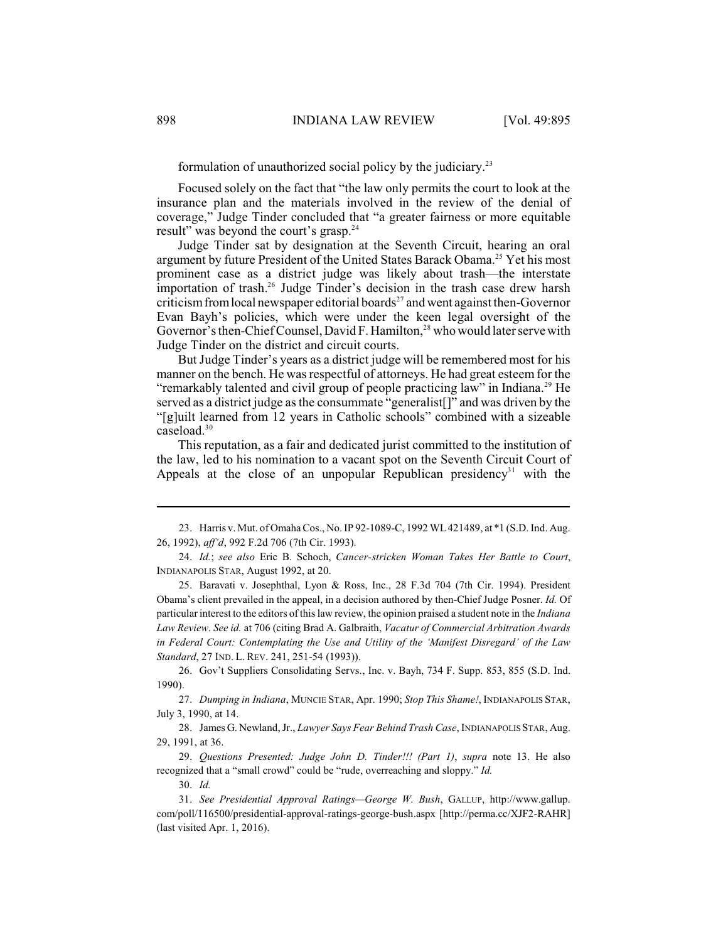formulation of unauthorized social policy by the judiciary.<sup>23</sup>

Focused solely on the fact that "the law only permits the court to look at the insurance plan and the materials involved in the review of the denial of coverage," Judge Tinder concluded that "a greater fairness or more equitable result" was beyond the court's grasp.<sup>24</sup>

Judge Tinder sat by designation at the Seventh Circuit, hearing an oral argument by future President of the United States Barack Obama.<sup>25</sup> Yet his most prominent case as a district judge was likely about trash—the interstate importation of trash.<sup>26</sup> Judge Tinder's decision in the trash case drew harsh criticism from local newspaper editorial boards<sup>27</sup> and went against then-Governor Evan Bayh's policies, which were under the keen legal oversight of the Governor's then-Chief Counsel, David F. Hamilton,<sup>28</sup> who would later serve with Judge Tinder on the district and circuit courts.

But Judge Tinder's years as a district judge will be remembered most for his manner on the bench. He was respectful of attorneys. He had great esteem for the "remarkably talented and civil group of people practicing law" in Indiana.<sup>29</sup> He served as a district judge as the consummate "generalist[]" and was driven by the "[g]uilt learned from 12 years in Catholic schools" combined with a sizeable caseload. 30

This reputation, as a fair and dedicated jurist committed to the institution of the law, led to his nomination to a vacant spot on the Seventh Circuit Court of Appeals at the close of an unpopular Republican presidency<sup>31</sup> with the

26. Gov't Suppliers Consolidating Servs., Inc. v. Bayh, 734 F. Supp. 853, 855 (S.D. Ind. 1990).

27. *Dumping in Indiana*, MUNCIE STAR, Apr. 1990; *Stop This Shame!*, INDIANAPOLIS STAR, July 3, 1990, at 14.

28. James G. Newland, Jr., *Lawyer Says Fear Behind Trash Case*, INDIANAPOLIS STAR, Aug. 29, 1991, at 36.

29. *Questions Presented: Judge John D. Tinder!!! (Part 1)*, *supra* note 13. He also recognized that a "small crowd" could be "rude, overreaching and sloppy." *Id.*

30. *Id.*

<sup>23.</sup> Harris v. Mut. of Omaha Cos., No. IP 92-1089-C, 1992 WL421489, at \*1 (S.D. Ind. Aug. 26, 1992), *aff'd*, 992 F.2d 706 (7th Cir. 1993).

<sup>24.</sup> *Id.*; *see also* Eric B. Schoch, *Cancer-stricken Woman Takes Her Battle to Court*, INDIANAPOLIS STAR, August 1992, at 20.

<sup>25.</sup> Baravati v. Josephthal, Lyon & Ross, Inc., 28 F.3d 704 (7th Cir. 1994). President Obama's client prevailed in the appeal, in a decision authored by then-Chief Judge Posner. *Id.* Of particular interest to the editors of this law review, the opinion praised a student note in the *Indiana Law Review*. *See id.* at 706 (citing Brad A. Galbraith, *Vacatur of Commercial Arbitration Awards in Federal Court: Contemplating the Use and Utility of the 'Manifest Disregard' of the Law Standard*, 27 IND. L. REV. 241, 251-54 (1993)).

<sup>31.</sup> *See Presidential Approval Ratings—George W. Bush*, GALLUP, http://www.gallup. com/poll/116500/presidential-approval-ratings-george-bush.aspx [http://perma.cc/XJF2-RAHR] (last visited Apr. 1, 2016).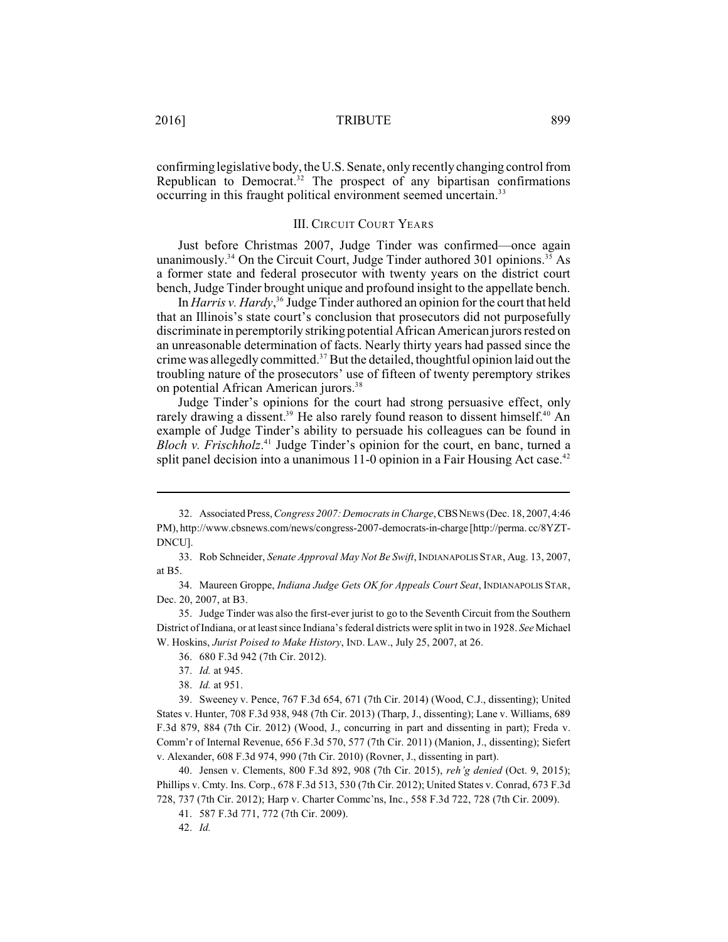2016] TRIBUTE 899

confirming legislative body, the U.S. Senate, only recently changing control from Republican to Democrat.<sup>32</sup> The prospect of any bipartisan confirmations occurring in this fraught political environment seemed uncertain.<sup>33</sup>

## III. CIRCUIT COURT YEARS

Just before Christmas 2007, Judge Tinder was confirmed—once again unanimously.<sup>34</sup> On the Circuit Court, Judge Tinder authored 301 opinions.<sup>35</sup> As a former state and federal prosecutor with twenty years on the district court bench, Judge Tinder brought unique and profound insight to the appellate bench.

In *Harris v. Hardy*,<sup>36</sup> Judge Tinder authored an opinion for the court that held that an Illinois's state court's conclusion that prosecutors did not purposefully discriminate in peremptorily striking potential African American jurors rested on an unreasonable determination of facts. Nearly thirty years had passed since the crime was allegedly committed.<sup>37</sup> But the detailed, thoughtful opinion laid out the troubling nature of the prosecutors' use of fifteen of twenty peremptory strikes on potential African American jurors.<sup>38</sup>

Judge Tinder's opinions for the court had strong persuasive effect, only rarely drawing a dissent.<sup>39</sup> He also rarely found reason to dissent himself.<sup>40</sup> An example of Judge Tinder's ability to persuade his colleagues can be found in *Bloch v. Frischholz*.<sup>41</sup> Judge Tinder's opinion for the court, en banc, turned a split panel decision into a unanimous  $11$ -0 opinion in a Fair Housing Act case.<sup>42</sup>

<sup>32.</sup> Associated Press, *Congress 2007: Democrats in Charge*, CBSNEWS (Dec. 18, 2007, 4:46 PM), http://www.cbsnews.com/news/congress-2007-democrats-in-charge [http://perma. cc/8YZT-DNCU].

<sup>33.</sup> Rob Schneider, *Senate Approval May Not Be Swift*, INDIANAPOLIS STAR, Aug. 13, 2007, at B5.

<sup>34.</sup> Maureen Groppe, *Indiana Judge Gets OK for Appeals Court Seat*, INDIANAPOLIS STAR, Dec. 20, 2007, at B3.

<sup>35.</sup> Judge Tinder was also the first-ever jurist to go to the Seventh Circuit from the Southern District of Indiana, or at least since Indiana's federal districts were split in two in 1928. *See* Michael W. Hoskins, *Jurist Poised to Make History*, IND. LAW., July 25, 2007, at 26.

<sup>36. 680</sup> F.3d 942 (7th Cir. 2012).

<sup>37.</sup> *Id.* at 945.

<sup>38.</sup> *Id.* at 951.

<sup>39.</sup> Sweeney v. Pence, 767 F.3d 654, 671 (7th Cir. 2014) (Wood, C.J., dissenting); United States v. Hunter, 708 F.3d 938, 948 (7th Cir. 2013) (Tharp, J., dissenting); Lane v. Williams, 689 F.3d 879, 884 (7th Cir. 2012) (Wood, J., concurring in part and dissenting in part); Freda v. Comm'r of Internal Revenue, 656 F.3d 570, 577 (7th Cir. 2011) (Manion, J., dissenting); Siefert v. Alexander, 608 F.3d 974, 990 (7th Cir. 2010) (Rovner, J., dissenting in part).

<sup>40.</sup> Jensen v. Clements, 800 F.3d 892, 908 (7th Cir. 2015), *reh'g denied* (Oct. 9, 2015); Phillips v. Cmty. Ins. Corp., 678 F.3d 513, 530 (7th Cir. 2012); United States v. Conrad, 673 F.3d 728, 737 (7th Cir. 2012); Harp v. Charter Commc'ns, Inc., 558 F.3d 722, 728 (7th Cir. 2009).

<sup>41. 587</sup> F.3d 771, 772 (7th Cir. 2009).

<sup>42.</sup> *Id.*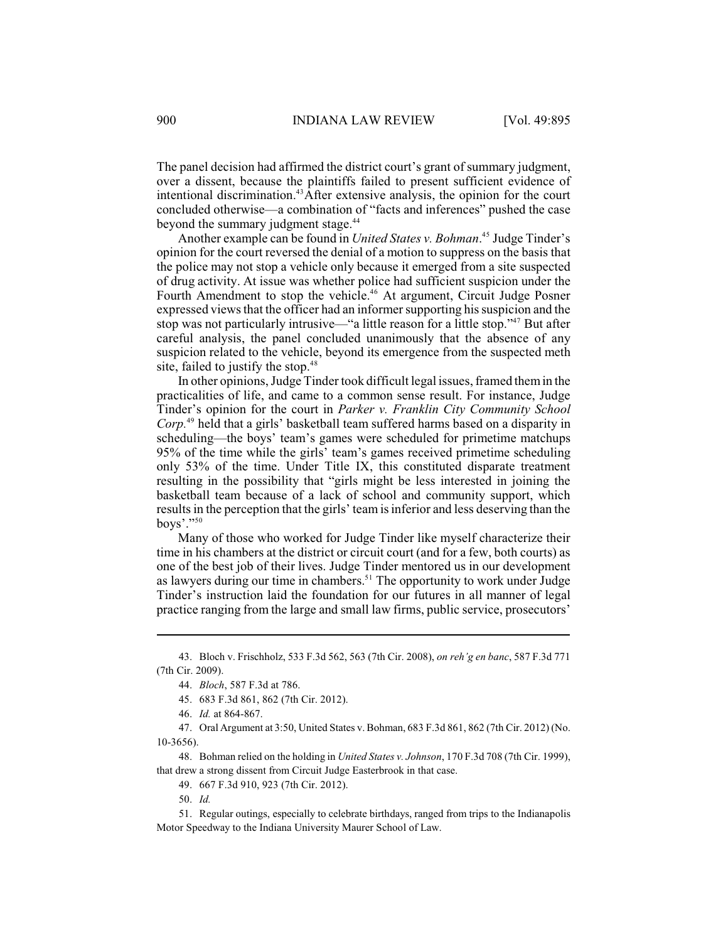The panel decision had affirmed the district court's grant of summary judgment, over a dissent, because the plaintiffs failed to present sufficient evidence of intentional discrimination.<sup>43</sup> $\overline{A}$ fter extensive analysis, the opinion for the court concluded otherwise—a combination of "facts and inferences" pushed the case beyond the summary judgment stage.<sup>44</sup>

Another example can be found in *United States v. Bohman*<sup>45</sup> Judge Tinder's opinion for the court reversed the denial of a motion to suppress on the basis that the police may not stop a vehicle only because it emerged from a site suspected of drug activity. At issue was whether police had sufficient suspicion under the Fourth Amendment to stop the vehicle.<sup>46</sup> At argument, Circuit Judge Posner expressed views that the officer had an informer supporting his suspicion and the stop was not particularly intrusive—"a little reason for a little stop." $47$  But after careful analysis, the panel concluded unanimously that the absence of any suspicion related to the vehicle, beyond its emergence from the suspected meth site, failed to justify the stop.<sup>48</sup>

In other opinions, Judge Tinder took difficult legal issues, framed themin the practicalities of life, and came to a common sense result. For instance, Judge Tinder's opinion for the court in *Parker v. Franklin City Community School Corp*.<sup>49</sup> held that a girls' basketball team suffered harms based on a disparity in scheduling—the boys' team's games were scheduled for primetime matchups 95% of the time while the girls' team's games received primetime scheduling only 53% of the time. Under Title IX, this constituted disparate treatment resulting in the possibility that "girls might be less interested in joining the basketball team because of a lack of school and community support, which results in the perception that the girls' team is inferior and less deserving than the boys'."50

Many of those who worked for Judge Tinder like myself characterize their time in his chambers at the district or circuit court (and for a few, both courts) as one of the best job of their lives. Judge Tinder mentored us in our development as lawyers during our time in chambers.<sup>51</sup> The opportunity to work under Judge Tinder's instruction laid the foundation for our futures in all manner of legal practice ranging from the large and small law firms, public service, prosecutors'

50. *Id.*

51. Regular outings, especially to celebrate birthdays, ranged from trips to the Indianapolis Motor Speedway to the Indiana University Maurer School of Law.

<sup>43.</sup> Bloch v. Frischholz, 533 F.3d 562, 563 (7th Cir. 2008), *on reh'g en banc*, 587 F.3d 771 (7th Cir. 2009).

<sup>44.</sup> *Bloch*, 587 F.3d at 786.

<sup>45.</sup> 683 F.3d 861, 862 (7th Cir. 2012).

<sup>46.</sup> *Id.* at 864-867.

<sup>47.</sup> Oral Argument at 3:50, United States v. Bohman, 683 F.3d 861, 862 (7th Cir. 2012) (No. 10-3656).

<sup>48.</sup> Bohman relied on the holding in *United States v. Johnson*, 170 F.3d 708 (7th Cir. 1999), that drew a strong dissent from Circuit Judge Easterbrook in that case.

<sup>49.</sup> 667 F.3d 910, 923 (7th Cir. 2012).